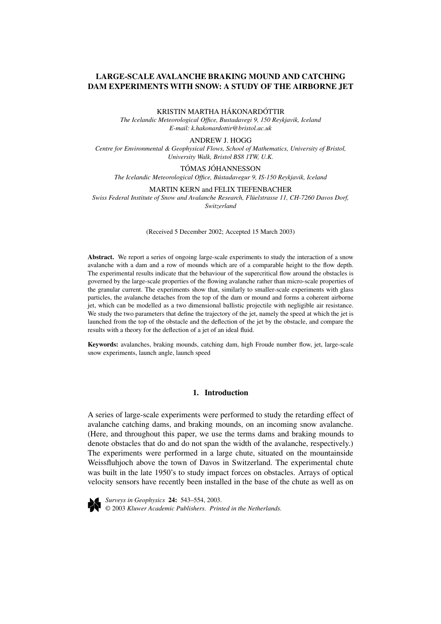# **LARGE-SCALE AVALANCHE BRAKING MOUND AND CATCHING DAM EXPERIMENTS WITH SNOW: A STUDY OF THE AIRBORNE JET**

### KRISTIN MARTHA HÁKONARDÓTTIR

*The Icelandic Meteorological Office, Bustadavegi 9, 150 Reykjavik, Iceland E-mail: k.hakonardottir@bristol.ac.uk*

#### ANDREW J. HOGG

*Centre for Environmental & Geophysical Flows, School of Mathematics, University of Bristol, University Walk, Bristol BS8 1TW, U.K.*

#### TÓMAS JÓHANNESSON

*The Icelandic Meteorological Office, Bústadavegur 9, IS-150 Reykjavik, Iceland*

#### MARTIN KERN and FELIX TIEFENBACHER

*Swiss Federal Institute of Snow and Avalanche Research, Flüelstrasse 11, CH-7260 Davos Dorf, Switzerland*

(Received 5 December 2002; Accepted 15 March 2003)

**Abstract.** We report a series of ongoing large-scale experiments to study the interaction of a snow avalanche with a dam and a row of mounds which are of a comparable height to the flow depth. The experimental results indicate that the behaviour of the supercritical flow around the obstacles is governed by the large-scale properties of the flowing avalanche rather than micro-scale properties of the granular current. The experiments show that, similarly to smaller-scale experiments with glass particles, the avalanche detaches from the top of the dam or mound and forms a coherent airborne jet, which can be modelled as a two dimensional ballistic projectile with negligible air resistance. We study the two parameters that define the trajectory of the jet, namely the speed at which the jet is launched from the top of the obstacle and the deflection of the jet by the obstacle, and compare the results with a theory for the deflection of a jet of an ideal fluid.

**Keywords:** avalanches, braking mounds, catching dam, high Froude number flow, jet, large-scale snow experiments, launch angle, launch speed

# **1. Introduction**

A series of large-scale experiments were performed to study the retarding effect of avalanche catching dams, and braking mounds, on an incoming snow avalanche. (Here, and throughout this paper, we use the terms dams and braking mounds to denote obstacles that do and do not span the width of the avalanche, respectively.) The experiments were performed in a large chute, situated on the mountainside Weissfluhjoch above the town of Davos in Switzerland. The experimental chute was built in the late 1950's to study impact forces on obstacles. Arrays of optical velocity sensors have recently been installed in the base of the chute as well as on



*Surveys in Geophysics* **24:** 543–554, 2003. © 2003 *Kluwer Academic Publishers. Printed in the Netherlands.*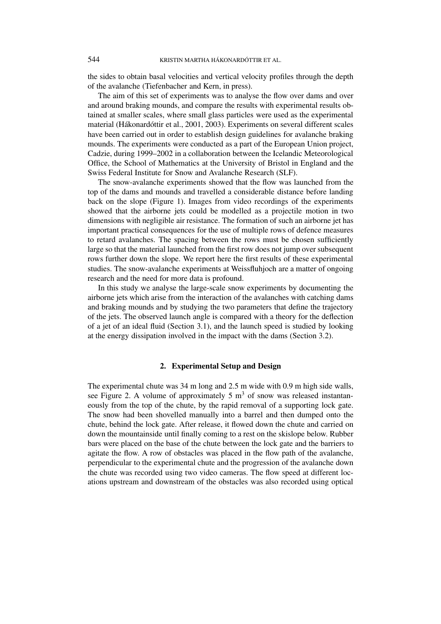the sides to obtain basal velocities and vertical velocity profiles through the depth of the avalanche (Tiefenbacher and Kern, in press).

The aim of this set of experiments was to analyse the flow over dams and over and around braking mounds, and compare the results with experimental results obtained at smaller scales, where small glass particles were used as the experimental material (Hákonardóttir et al., 2001, 2003). Experiments on several different scales have been carried out in order to establish design guidelines for avalanche braking mounds. The experiments were conducted as a part of the European Union project, Cadzie, during 1999–2002 in a collaboration between the Icelandic Meteorological Office, the School of Mathematics at the University of Bristol in England and the Swiss Federal Institute for Snow and Avalanche Research (SLF).

The snow-avalanche experiments showed that the flow was launched from the top of the dams and mounds and travelled a considerable distance before landing back on the slope (Figure 1). Images from video recordings of the experiments showed that the airborne jets could be modelled as a projectile motion in two dimensions with negligible air resistance. The formation of such an airborne jet has important practical consequences for the use of multiple rows of defence measures to retard avalanches. The spacing between the rows must be chosen sufficiently large so that the material launched from the first row does not jump over subsequent rows further down the slope. We report here the first results of these experimental studies. The snow-avalanche experiments at Weissfluhjoch are a matter of ongoing research and the need for more data is profound.

In this study we analyse the large-scale snow experiments by documenting the airborne jets which arise from the interaction of the avalanches with catching dams and braking mounds and by studying the two parameters that define the trajectory of the jets. The observed launch angle is compared with a theory for the deflection of a jet of an ideal fluid (Section 3.1), and the launch speed is studied by looking at the energy dissipation involved in the impact with the dams (Section 3.2).

# **2. Experimental Setup and Design**

The experimental chute was 34 m long and 2.5 m wide with 0.9 m high side walls, see Figure 2. A volume of approximately 5  $m<sup>3</sup>$  of snow was released instantaneously from the top of the chute, by the rapid removal of a supporting lock gate. The snow had been shovelled manually into a barrel and then dumped onto the chute, behind the lock gate. After release, it flowed down the chute and carried on down the mountainside until finally coming to a rest on the skislope below. Rubber bars were placed on the base of the chute between the lock gate and the barriers to agitate the flow. A row of obstacles was placed in the flow path of the avalanche, perpendicular to the experimental chute and the progression of the avalanche down the chute was recorded using two video cameras. The flow speed at different locations upstream and downstream of the obstacles was also recorded using optical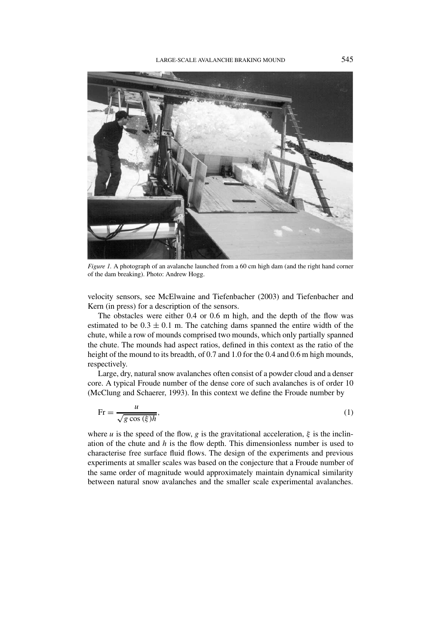

*Figure 1.* A photograph of an avalanche launched from a 60 cm high dam (and the right hand corner of the dam breaking). Photo: Andrew Hogg.

velocity sensors, see McElwaine and Tiefenbacher (2003) and Tiefenbacher and Kern (in press) for a description of the sensors.

The obstacles were either 0.4 or 0.6 m high, and the depth of the flow was estimated to be  $0.3 \pm 0.1$  m. The catching dams spanned the entire width of the chute, while a row of mounds comprised two mounds, which only partially spanned the chute. The mounds had aspect ratios, defined in this context as the ratio of the height of the mound to its breadth, of 0.7 and 1.0 for the 0.4 and 0.6 m high mounds, respectively.

Large, dry, natural snow avalanches often consist of a powder cloud and a denser core. A typical Froude number of the dense core of such avalanches is of order 10 (McClung and Schaerer, 1993). In this context we define the Froude number by

$$
\text{Fr} = \frac{u}{\sqrt{g\cos\left(\xi\right)h}},\tag{1}
$$

where *u* is the speed of the flow, *g* is the gravitational acceleration,  $\xi$  is the inclination of the chute and *h* is the flow depth. This dimensionless number is used to characterise free surface fluid flows. The design of the experiments and previous experiments at smaller scales was based on the conjecture that a Froude number of the same order of magnitude would approximately maintain dynamical similarity between natural snow avalanches and the smaller scale experimental avalanches.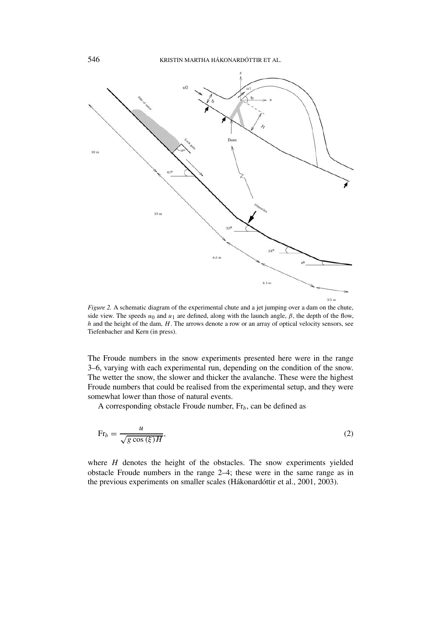

*Figure 2.* A schematic diagram of the experimental chute and a jet jumping over a dam on the chute, side view. The speeds  $u_0$  and  $u_1$  are defined, along with the launch angle,  $\beta$ , the depth of the flow, *h* and the height of the dam, *H*. The arrows denote a row or an array of optical velocity sensors, see Tiefenbacher and Kern (in press).

The Froude numbers in the snow experiments presented here were in the range 3–6, varying with each experimental run, depending on the condition of the snow. The wetter the snow, the slower and thicker the avalanche. These were the highest Froude numbers that could be realised from the experimental setup, and they were somewhat lower than those of natural events.

A corresponding obstacle Froude number, Fr*b*, can be defined as

$$
\text{Fr}_b = \frac{u}{\sqrt{g\cos\left(\xi\right)H}},\tag{2}
$$

where *H* denotes the height of the obstacles. The snow experiments yielded obstacle Froude numbers in the range 2–4; these were in the same range as in the previous experiments on smaller scales (Hákonardóttir et al., 2001, 2003).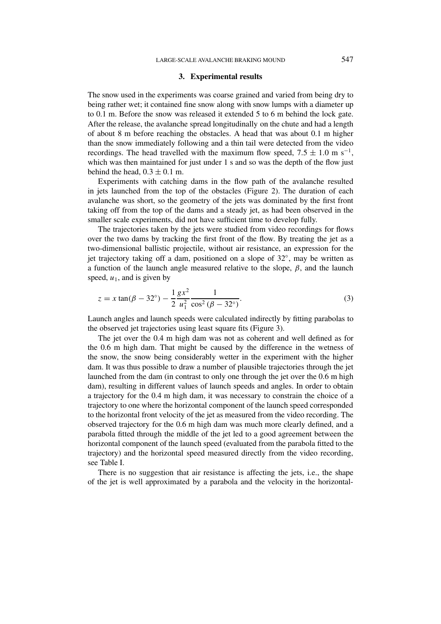### **3. Experimental results**

The snow used in the experiments was coarse grained and varied from being dry to being rather wet; it contained fine snow along with snow lumps with a diameter up to 0.1 m. Before the snow was released it extended 5 to 6 m behind the lock gate. After the release, the avalanche spread longitudinally on the chute and had a length of about 8 m before reaching the obstacles. A head that was about 0.1 m higher than the snow immediately following and a thin tail were detected from the video recordings. The head travelled with the maximum flow speed,  $7.5 \pm 1.0 \text{ m s}^{-1}$ , which was then maintained for just under 1 s and so was the depth of the flow just behind the head,  $0.3 \pm 0.1$  m.

Experiments with catching dams in the flow path of the avalanche resulted in jets launched from the top of the obstacles (Figure 2). The duration of each avalanche was short, so the geometry of the jets was dominated by the first front taking off from the top of the dams and a steady jet, as had been observed in the smaller scale experiments, did not have sufficient time to develop fully.

The trajectories taken by the jets were studied from video recordings for flows over the two dams by tracking the first front of the flow. By treating the jet as a two-dimensional ballistic projectile, without air resistance, an expression for the jet trajectory taking off a dam, positioned on a slope of 32◦, may be written as a function of the launch angle measured relative to the slope,  $\beta$ , and the launch speed,  $u_1$ , and is given by

$$
z = x \tan(\beta - 32^{\circ}) - \frac{1}{2} \frac{gx^{2}}{u_{1}^{2}} \frac{1}{\cos^{2}(\beta - 32^{\circ})}.
$$
 (3)

Launch angles and launch speeds were calculated indirectly by fitting parabolas to the observed jet trajectories using least square fits (Figure 3).

The jet over the 0.4 m high dam was not as coherent and well defined as for the 0.6 m high dam. That might be caused by the difference in the wetness of the snow, the snow being considerably wetter in the experiment with the higher dam. It was thus possible to draw a number of plausible trajectories through the jet launched from the dam (in contrast to only one through the jet over the 0.6 m high dam), resulting in different values of launch speeds and angles. In order to obtain a trajectory for the 0.4 m high dam, it was necessary to constrain the choice of a trajectory to one where the horizontal component of the launch speed corresponded to the horizontal front velocity of the jet as measured from the video recording. The observed trajectory for the 0.6 m high dam was much more clearly defined, and a parabola fitted through the middle of the jet led to a good agreement between the horizontal component of the launch speed (evaluated from the parabola fitted to the trajectory) and the horizontal speed measured directly from the video recording, see Table I.

There is no suggestion that air resistance is affecting the jets, i.e., the shape of the jet is well approximated by a parabola and the velocity in the horizontal-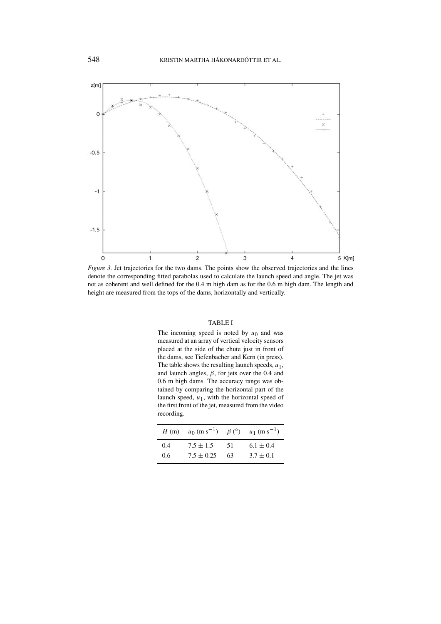

*Figure 3.* Jet trajectories for the two dams. The points show the observed trajectories and the lines denote the corresponding fitted parabolas used to calculate the launch speed and angle. The jet was not as coherent and well defined for the 0.4 m high dam as for the 0.6 m high dam. The length and height are measured from the tops of the dams, horizontally and vertically.

#### TABLE I

The incoming speed is noted by  $u_0$  and was measured at an array of vertical velocity sensors placed at the side of the chute just in front of the dams, see Tiefenbacher and Kern (in press). The table shows the resulting launch speeds,  $u_1$ , and launch angles, *β*, for jets over the 0.4 and 0.6 m high dams. The accuracy range was obtained by comparing the horizontal part of the launch speed,  $u_1$ , with the horizontal speed of the first front of the jet, measured from the video recording.

|     | H (m) $u_0$ (m s <sup>-1</sup> ) $\beta$ (°) $u_1$ (m s <sup>-1</sup> ) |      |               |
|-----|-------------------------------------------------------------------------|------|---------------|
| 0.4 | $7.5 \pm 1.5$                                                           | - 51 | $6.1 \pm 0.4$ |
| 0.6 | $7.5 \pm 0.25$                                                          | 63   | $3.7 \pm 0.1$ |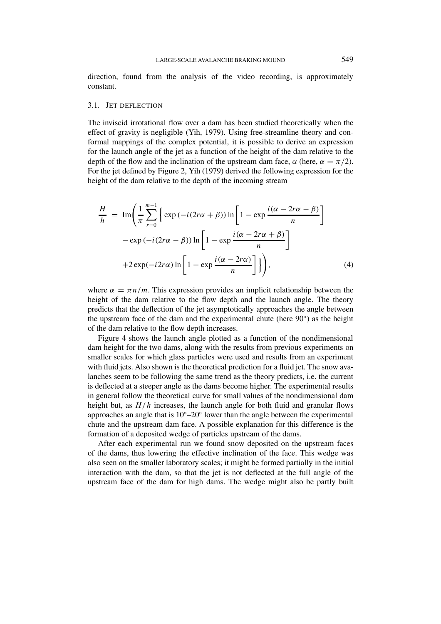direction, found from the analysis of the video recording, is approximately constant.

#### 3.1. JET DEFLECTION

The inviscid irrotational flow over a dam has been studied theoretically when the effect of gravity is negligible (Yih, 1979). Using free-streamline theory and conformal mappings of the complex potential, it is possible to derive an expression for the launch angle of the jet as a function of the height of the dam relative to the depth of the flow and the inclination of the upstream dam face,  $\alpha$  (here,  $\alpha = \pi/2$ ). For the jet defined by Figure 2, Yih (1979) derived the following expression for the height of the dam relative to the depth of the incoming stream

$$
\frac{H}{h} = \operatorname{Im} \left( \frac{1}{\pi} \sum_{r=0}^{m-1} \left\{ \exp \left( -i(2r\alpha + \beta) \right) \ln \left[ 1 - \exp \frac{i(\alpha - 2r\alpha - \beta)}{n} \right] - \exp \left( -i(2r\alpha - \beta) \right) \ln \left[ 1 - \exp \frac{i(\alpha - 2r\alpha + \beta)}{n} \right] \right)
$$
  
+2 \exp(-i2r\alpha) \ln \left[ 1 - \exp \frac{i(\alpha - 2r\alpha)}{n} \right] \right), (4)

where  $\alpha = \pi n/m$ . This expression provides an implicit relationship between the height of the dam relative to the flow depth and the launch angle. The theory predicts that the deflection of the jet asymptotically approaches the angle between the upstream face of the dam and the experimental chute (here 90◦) as the height of the dam relative to the flow depth increases.

Figure 4 shows the launch angle plotted as a function of the nondimensional dam height for the two dams, along with the results from previous experiments on smaller scales for which glass particles were used and results from an experiment with fluid jets. Also shown is the theoretical prediction for a fluid jet. The snow avalanches seem to be following the same trend as the theory predicts, i.e. the current is deflected at a steeper angle as the dams become higher. The experimental results in general follow the theoretical curve for small values of the nondimensional dam height but, as  $H/h$  increases, the launch angle for both fluid and granular flows approaches an angle that is 10◦–20◦ lower than the angle between the experimental chute and the upstream dam face. A possible explanation for this difference is the formation of a deposited wedge of particles upstream of the dams.

After each experimental run we found snow deposited on the upstream faces of the dams, thus lowering the effective inclination of the face. This wedge was also seen on the smaller laboratory scales; it might be formed partially in the initial interaction with the dam, so that the jet is not deflected at the full angle of the upstream face of the dam for high dams. The wedge might also be partly built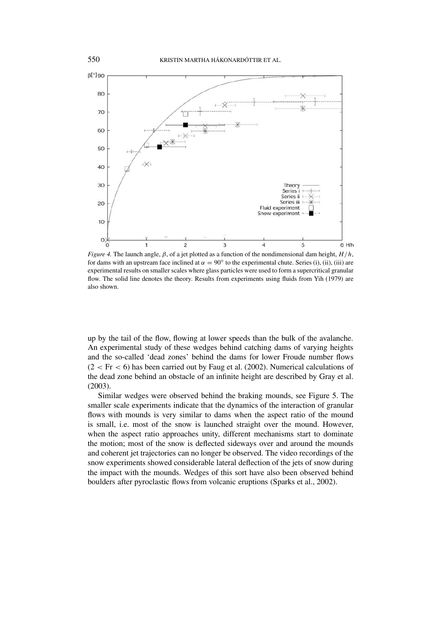

*Figure 4.* The launch angle, *β*, of a jet plotted as a function of the nondimensional dam height, *H/h*, for dams with an upstream face inclined at  $\alpha = 90^\circ$  to the experimental chute. Series (i), (ii), (iii) are experimental results on smaller scales where glass particles were used to form a supercritical granular flow. The solid line denotes the theory. Results from experiments using fluids from Yih (1979) are also shown.

up by the tail of the flow, flowing at lower speeds than the bulk of the avalanche. An experimental study of these wedges behind catching dams of varying heights and the so-called 'dead zones' behind the dams for lower Froude number flows (2 *<* Fr *<* 6) has been carried out by Faug et al. (2002). Numerical calculations of the dead zone behind an obstacle of an infinite height are described by Gray et al. (2003).

Similar wedges were observed behind the braking mounds, see Figure 5. The smaller scale experiments indicate that the dynamics of the interaction of granular flows with mounds is very similar to dams when the aspect ratio of the mound is small, i.e. most of the snow is launched straight over the mound. However, when the aspect ratio approaches unity, different mechanisms start to dominate the motion; most of the snow is deflected sideways over and around the mounds and coherent jet trajectories can no longer be observed. The video recordings of the snow experiments showed considerable lateral deflection of the jets of snow during the impact with the mounds. Wedges of this sort have also been observed behind boulders after pyroclastic flows from volcanic eruptions (Sparks et al., 2002).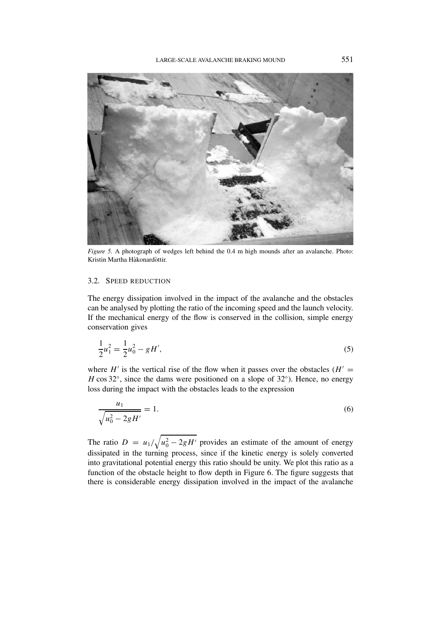

*Figure 5.* A photograph of wedges left behind the 0.4 m high mounds after an avalanche. Photo: Kristin Martha Hàkonardòttir.

# 3.2. SPEED REDUCTION

The energy dissipation involved in the impact of the avalanche and the obstacles can be analysed by plotting the ratio of the incoming speed and the launch velocity. If the mechanical energy of the flow is conserved in the collision, simple energy conservation gives

$$
\frac{1}{2}u_1^2 = \frac{1}{2}u_0^2 - gH',\tag{5}
$$

where *H'* is the vertical rise of the flow when it passes over the obstacles  $(H' =$ *H* cos 32<sup>°</sup>, since the dams were positioned on a slope of 32<sup>°</sup>). Hence, no energy loss during the impact with the obstacles leads to the expression

$$
\frac{u_1}{\sqrt{u_0^2 - 2gH'}} = 1.
$$
\n(6)

The ratio  $D = u_1 / \sqrt{u_0^2 - 2gH'}$  provides an estimate of the amount of energy dissipated in the turning process, since if the kinetic energy is solely converted into gravitational potential energy this ratio should be unity. We plot this ratio as a function of the obstacle height to flow depth in Figure 6. The figure suggests that there is considerable energy dissipation involved in the impact of the avalanche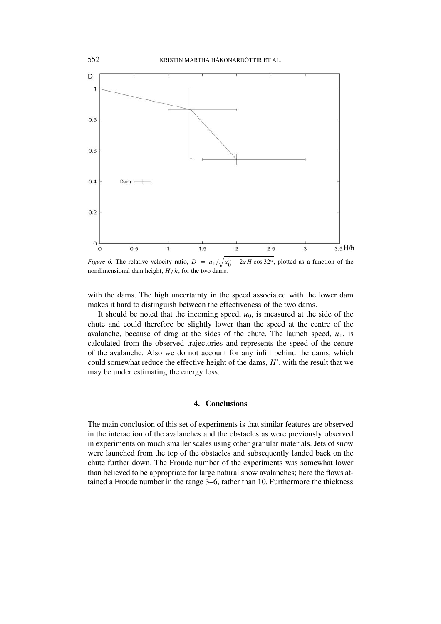

*Figure 6.* The relative velocity ratio,  $D = u_1 / \sqrt{u_0^2 - 2gH \cos 32^\circ}$ , plotted as a function of the nondimensional dam height, *H/h*, for the two dams.

with the dams. The high uncertainty in the speed associated with the lower dam makes it hard to distinguish between the effectiveness of the two dams.

It should be noted that the incoming speed,  $u<sub>0</sub>$ , is measured at the side of the chute and could therefore be slightly lower than the speed at the centre of the avalanche, because of drag at the sides of the chute. The launch speed,  $u_1$ , is calculated from the observed trajectories and represents the speed of the centre of the avalanche. Also we do not account for any infill behind the dams, which could somewhat reduce the effective height of the dams, *H* , with the result that we may be under estimating the energy loss.

# **4. Conclusions**

The main conclusion of this set of experiments is that similar features are observed in the interaction of the avalanches and the obstacles as were previously observed in experiments on much smaller scales using other granular materials. Jets of snow were launched from the top of the obstacles and subsequently landed back on the chute further down. The Froude number of the experiments was somewhat lower than believed to be appropriate for large natural snow avalanches; here the flows attained a Froude number in the range 3–6, rather than 10. Furthermore the thickness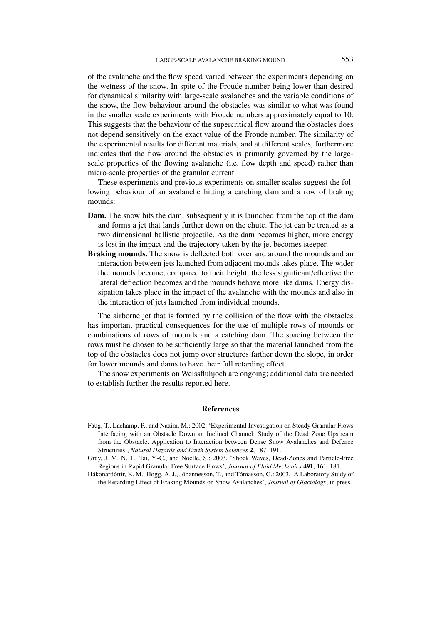of the avalanche and the flow speed varied between the experiments depending on the wetness of the snow. In spite of the Froude number being lower than desired for dynamical similarity with large-scale avalanches and the variable conditions of the snow, the flow behaviour around the obstacles was similar to what was found in the smaller scale experiments with Froude numbers approximately equal to 10. This suggests that the behaviour of the supercritical flow around the obstacles does not depend sensitively on the exact value of the Froude number. The similarity of the experimental results for different materials, and at different scales, furthermore indicates that the flow around the obstacles is primarily governed by the largescale properties of the flowing avalanche (i.e. flow depth and speed) rather than micro-scale properties of the granular current.

These experiments and previous experiments on smaller scales suggest the following behaviour of an avalanche hitting a catching dam and a row of braking mounds:

- **Dam.** The snow hits the dam: subsequently it is launched from the top of the dam and forms a jet that lands further down on the chute. The jet can be treated as a two dimensional ballistic projectile. As the dam becomes higher, more energy is lost in the impact and the trajectory taken by the jet becomes steeper.
- **Braking mounds.** The snow is deflected both over and around the mounds and an interaction between jets launched from adjacent mounds takes place. The wider the mounds become, compared to their height, the less significant/effective the lateral deflection becomes and the mounds behave more like dams. Energy dissipation takes place in the impact of the avalanche with the mounds and also in the interaction of jets launched from individual mounds.

The airborne jet that is formed by the collision of the flow with the obstacles has important practical consequences for the use of multiple rows of mounds or combinations of rows of mounds and a catching dam. The spacing between the rows must be chosen to be sufficiently large so that the material launched from the top of the obstacles does not jump over structures farther down the slope, in order for lower mounds and dams to have their full retarding effect.

The snow experiments on Weissfluhjoch are ongoing; additional data are needed to establish further the results reported here.

#### **References**

- Faug, T., Lachamp, P., and Naaim, M.: 2002, 'Experimental Investigation on Steady Granular Flows Interfacing with an Obstacle Down an Inclined Channel: Study of the Dead Zone Upstream from the Obstacle. Application to Interaction between Dense Snow Avalanches and Defence Structures', *Natural Hazards and Earth System Sciences* **2**, 187–191.
- Gray, J. M. N. T., Tai, Y.-C., and Noelle, S.: 2003, 'Shock Waves, Dead-Zones and Particle-Free Regions in Rapid Granular Free Surface Flows', *Journal of Fluid Mechanics* **491**, 161–181.
- Hákonardóttir, K. M., Hogg, A. J., Jóhannesson, T., and Tómasson, G.: 2003, 'A Laboratory Study of the Retarding Effect of Braking Mounds on Snow Avalanches', *Journal of Glaciology*, in press.